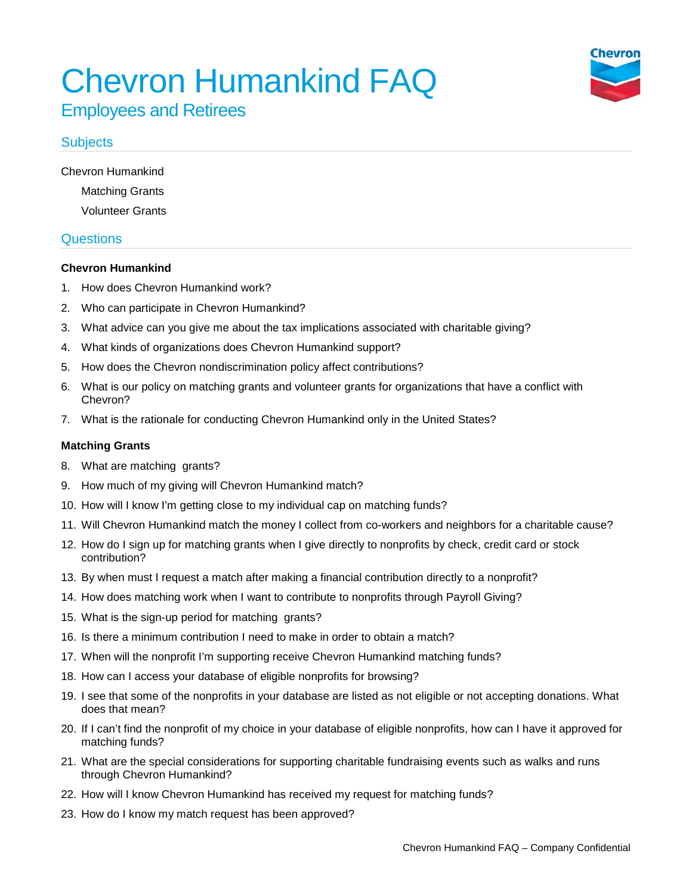# Chevron Humankind FAQ



Employees and Retirees

# **Subjects**

[Chevron Humankind](#page-2-0)

Matching Grants Volunteer Grants

# **Questions**

# **[Chevron Humankind](#page-2-0)**

- 1. [How does Chevron Humankind work?](#page-2-1)
- 2. [Who can participate in Chevron Humankind?](#page-2-2)
- 3. [What advice can you give me about the tax implications associated with charitable giving?](#page-3-0)
- 4. [What kinds of organizations does Chevron Humankind support?](#page-3-1)
- 5. [How does the Chevron nondiscrimination policy affect contributions?](#page-3-2)
- 6. [What is our policy on matching grants and volunteer grants for organizations that have a conflict with](#page-3-3)  [Chevron?](#page-3-3)
- 7. [What is the rationale for conducting Chevron Humankind only in the United States?](#page-3-4)

#### **[Matching Grants](#page-4-0)**

- 8. [What are matching grants?](#page-4-1)
- 9. [How much of my giving will Chevron Humankind match?](#page-4-2)
- 10. [How will I know I'm getting close to my individual cap on matching funds?](#page-4-3)
- 11. [Will Chevron Humankind match the money I collect from co-workers and neighbors for a charitable cause?](#page-4-4)
- 12. [How do I sign up for matching grants when I give directly to nonprofits by check,](#page-4-5) credit card or stock [contribution?](#page-4-5)
- 13. [By when must I request a match after making a financial contribution directly to a nonprofit?](#page-5-0)
- 14. [How does matching work when I want to contribute to nonprofits through Payroll Giving?](#page-5-1)
- 15. [What is the sign-up period for matching grants?](#page-5-2)
- 16. [Is there a minimum contribution I need to make in order to obtain a match?](#page-5-3)
- 17. [When will the nonprofit I'm supporting receive Chevron Humankind matching funds?](#page-5-4)
- 18. [How can I access your database of eligible nonprofits for browsing?](#page-6-0)
- 19. [I see that some of the nonprofits in your database are listed as not eligible or not accepting donations. What](#page-6-1)  [does that mean?](#page-6-1)
- 20. [If I can't find the nonprofit of my choice in your database of eligible nonprofits, how can I have it approved for](#page-6-2)  [matching funds?](#page-6-2)
- 21. [What are the special considerations for supporting charitable fundraising events such as walks and runs](#page-7-0)  [through Chevron Humankind?](#page-7-0)
- 22. How will [I know Chevron Humankind has received my request for matching funds?](#page-7-1)
- 23. [How do I know my match request has been approved?](#page-7-2)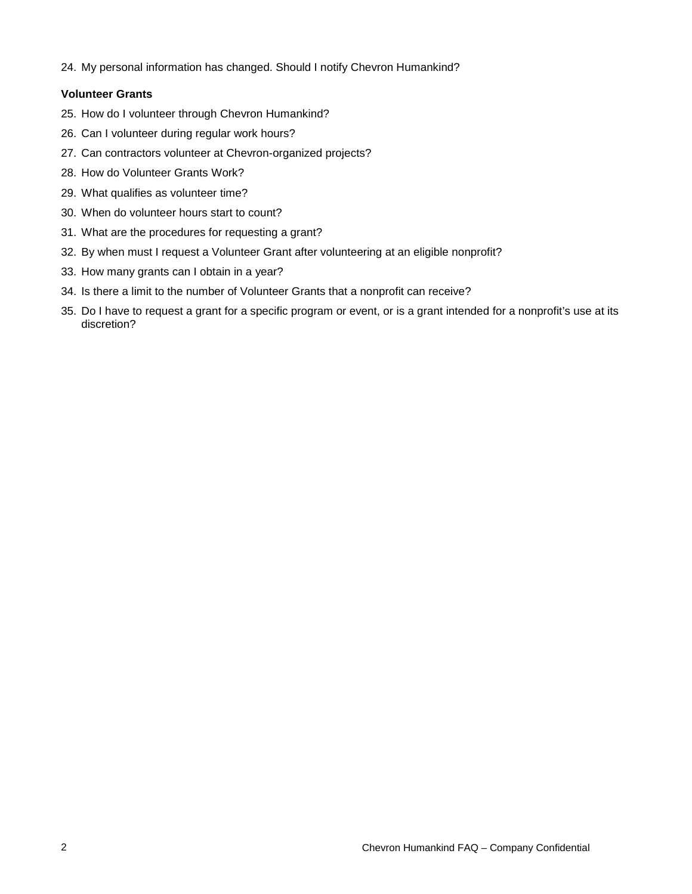24. [My personal information has changed. Should I notify Chevron Humankind?](#page-8-0)

# **[Volunteer Grants](#page-8-1)**

- 25. [How do I volunteer through Chevron Humankind?](#page-8-2)
- 26. [Can I volunteer during regular work hours?](#page-8-3)
- 27. [Can contractors volunteer at Chevron-organized projects?](#page-8-4)
- 28. [How do Volunteer Grants Work?](#page-8-5)
- 29. [What qualifies as volunteer time?](#page-8-6)
- 30. [When do volunteer hours start to count?](#page-9-0)
- 31. [What are the procedures for requesting a grant?](#page-9-1)
- 32. [By when must I request a Volunteer Grant after volunteering at an eligible nonprofit?](#page-9-2)
- 33. [How many grants can I obtain in a year?](#page-9-3)
- 34. [Is there a limit to the number of Volunteer Grants that a nonprofit can receive?](#page-9-4)
- 35. [Do I have to request a grant for a specific program or event, or is a grant intended for a nonprofit's use at its](#page-9-5)  [discretion?](#page-9-5)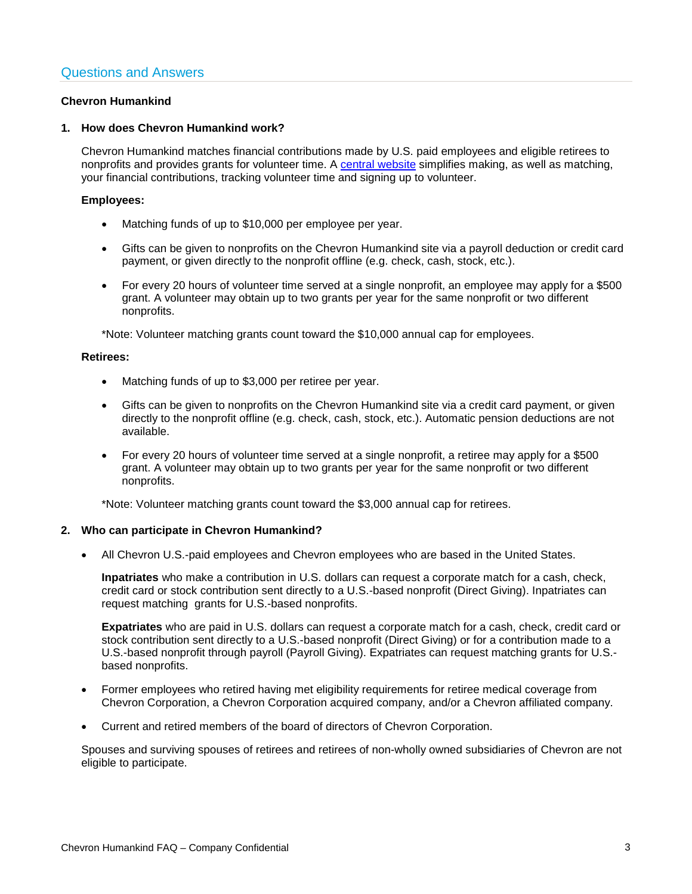# <span id="page-2-0"></span>**Chevron Humankind**

#### <span id="page-2-1"></span>**1. How does Chevron Humankind work?**

Chevron Humankind matches financial contributions made by U.S. paid employees and eligible retirees to nonprofits and provides grants for volunteer time. A [central website](http://www.chevronhumankind.com/) simplifies making, as well as matching, your financial contributions, tracking volunteer time and signing up to volunteer.

#### **Employees:**

- Matching funds of up to \$10,000 per employee per year.
- Gifts can be given to nonprofits on the Chevron Humankind site via a payroll deduction or credit card payment, or given directly to the nonprofit offline (e.g. check, cash, stock, etc.).
- For every 20 hours of volunteer time served at a single nonprofit, an employee may apply for a \$500 grant. A volunteer may obtain up to two grants per year for the same nonprofit or two different nonprofits.

\*Note: Volunteer matching grants count toward the \$10,000 annual cap for employees.

#### **Retirees:**

- Matching funds of up to \$3,000 per retiree per year.
- Gifts can be given to nonprofits on the Chevron Humankind site via a credit card payment, or given directly to the nonprofit offline (e.g. check, cash, stock, etc.). Automatic pension deductions are not available.
- For every 20 hours of volunteer time served at a single nonprofit, a retiree may apply for a \$500 grant. A volunteer may obtain up to two grants per year for the same nonprofit or two different nonprofits.

\*Note: Volunteer matching grants count toward the \$3,000 annual cap for retirees.

# <span id="page-2-2"></span>**2. Who can participate in Chevron Humankind?**

• All Chevron U.S.-paid employees and Chevron employees who are based in the United States.

**Inpatriates** who make a contribution in U.S. dollars can request a corporate match for a cash, check, credit card or stock contribution sent directly to a U.S.-based nonprofit (Direct Giving). Inpatriates can request matching grants for U.S.-based nonprofits.

**Expatriates** who are paid in U.S. dollars can request a corporate match for a cash, check, credit card or stock contribution sent directly to a U.S.-based nonprofit (Direct Giving) or for a contribution made to a U.S.-based nonprofit through payroll (Payroll Giving). Expatriates can request matching grants for U.S. based nonprofits.

- Former employees who retired having met eligibility requirements for retiree medical coverage from Chevron Corporation, a Chevron Corporation acquired company, and/or a Chevron affiliated company.
- Current and retired members of the board of directors of Chevron Corporation.

Spouses and surviving spouses of retirees and retirees of non-wholly owned subsidiaries of Chevron are not eligible to participate.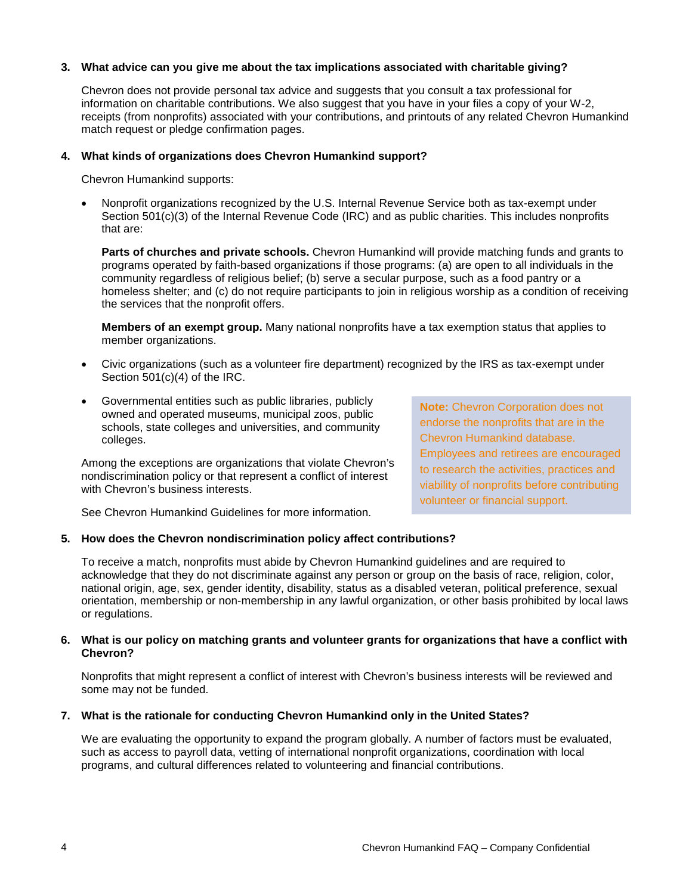#### <span id="page-3-0"></span>**3. What advice can you give me about the tax implications associated with charitable giving?**

Chevron does not provide personal tax advice and suggests that you consult a tax professional for information on charitable contributions. We also suggest that you have in your files a copy of your W-2, receipts (from nonprofits) associated with your contributions, and printouts of any related Chevron Humankind match request or pledge confirmation pages.

#### <span id="page-3-1"></span>**4. What kinds of organizations does Chevron Humankind support?**

Chevron Humankind supports:

• Nonprofit organizations recognized by the U.S. Internal Revenue Service both as tax-exempt under Section 501(c)(3) of the Internal Revenue Code (IRC) and as public charities. This includes nonprofits that are:

**Parts of churches and private schools.** Chevron Humankind will provide matching funds and grants to programs operated by faith-based organizations if those programs: (a) are open to all individuals in the community regardless of religious belief; (b) serve a secular purpose, such as a food pantry or a homeless shelter; and (c) do not require participants to join in religious worship as a condition of receiving the services that the nonprofit offers.

**Members of an exempt group.** Many national nonprofits have a tax exemption status that applies to member organizations.

- Civic organizations (such as a volunteer fire department) recognized by the IRS as tax-exempt under Section 501(c)(4) of the IRC.
- Governmental entities such as public libraries, publicly owned and operated museums, municipal zoos, public schools, state colleges and universities, and community colleges.

Among the exceptions are organizations that violate Chevron's nondiscrimination policy or that represent a conflict of interest with Chevron's business interests.

**Note:** Chevron Corporation does not endorse the nonprofits that are in the Chevron Humankind database. Employees and retirees are encouraged to research the activities, practices and viability of nonprofits before contributing volunteer or financial support.

See Chevron Humankind Guidelines for more information.

#### <span id="page-3-2"></span>**5. How does the Chevron nondiscrimination policy affect contributions?**

To receive a match, nonprofits must abide by Chevron Humankind guidelines and are required to acknowledge that they do not discriminate against any person or group on the basis of race, religion, color, national origin, age, sex, gender identity, disability, status as a disabled veteran, political preference, sexual orientation, membership or non-membership in any lawful organization, or other basis prohibited by local laws or regulations.

#### <span id="page-3-3"></span>**6. What is our policy on matching grants and volunteer grants for organizations that have a conflict with Chevron?**

Nonprofits that might represent a conflict of interest with Chevron's business interests will be reviewed and some may not be funded.

#### <span id="page-3-4"></span>**7. What is the rationale for conducting Chevron Humankind only in the United States?**

We are evaluating the opportunity to expand the program globally. A number of factors must be evaluated, such as access to payroll data, vetting of international nonprofit organizations, coordination with local programs, and cultural differences related to volunteering and financial contributions.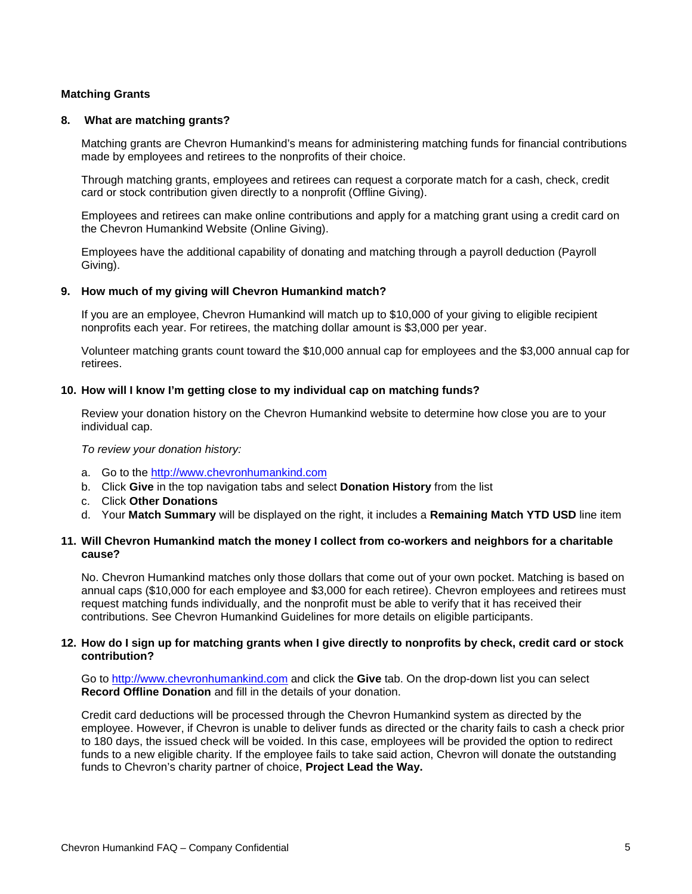## <span id="page-4-0"></span>**Matching Grants**

#### <span id="page-4-1"></span>**8. What are matching grants?**

Matching grants are Chevron Humankind's means for administering matching funds for financial contributions made by employees and retirees to the nonprofits of their choice.

Through matching grants, employees and retirees can request a corporate match for a cash, check, credit card or stock contribution given directly to a nonprofit (Offline Giving).

Employees and retirees can make online contributions and apply for a matching grant using a credit card on the Chevron Humankind Website (Online Giving).

Employees have the additional capability of donating and matching through a payroll deduction (Payroll Giving).

## <span id="page-4-2"></span>**9. How much of my giving will Chevron Humankind match?**

If you are an employee, Chevron Humankind will match up to \$10,000 of your giving to eligible recipient nonprofits each year. For retirees, the matching dollar amount is \$3,000 per year.

Volunteer matching grants count toward the \$10,000 annual cap for employees and the \$3,000 annual cap for retirees.

#### <span id="page-4-3"></span>**10. How will I know I'm getting close to my individual cap on matching funds?**

Review your donation history on the Chevron Humankind website to determine how close you are to your individual cap.

*To review your donation history:*

- a. Go to the [http://www.chevronhumankind.com](http://www.chevronhumankind.com/)
- b. Click **Give** in the top navigation tabs and select **Donation History** from the list
- c. Click **Other Donations**
- d. Your **Match Summary** will be displayed on the right, it includes a **Remaining Match YTD USD** line item

#### <span id="page-4-4"></span>**11. Will Chevron Humankind match the money I collect from co-workers and neighbors for a charitable cause?**

No. Chevron Humankind matches only those dollars that come out of your own pocket. Matching is based on annual caps (\$10,000 for each employee and \$3,000 for each retiree). Chevron employees and retirees must request matching funds individually, and the nonprofit must be able to verify that it has received their contributions. See Chevron Humankind Guidelines for more details on eligible participants.

#### <span id="page-4-5"></span>**12. How do I sign up for matching grants when I give directly to nonprofits by check, credit card or stock contribution?**

Go to [http://www.chevronhumankind.com](http://www.chevronhumankind.com/) and click the **Give** tab. On the drop-down list you can select **Record Offline Donation** and fill in the details of your donation.

Credit card deductions will be processed through the Chevron Humankind system as directed by the employee. However, if Chevron is unable to deliver funds as directed or the charity fails to cash a check prior to 180 days, the issued check will be voided. In this case, employees will be provided the option to redirect funds to a new eligible charity. If the employee fails to take said action, Chevron will donate the outstanding funds to Chevron's charity partner of choice, **Project Lead the Way.**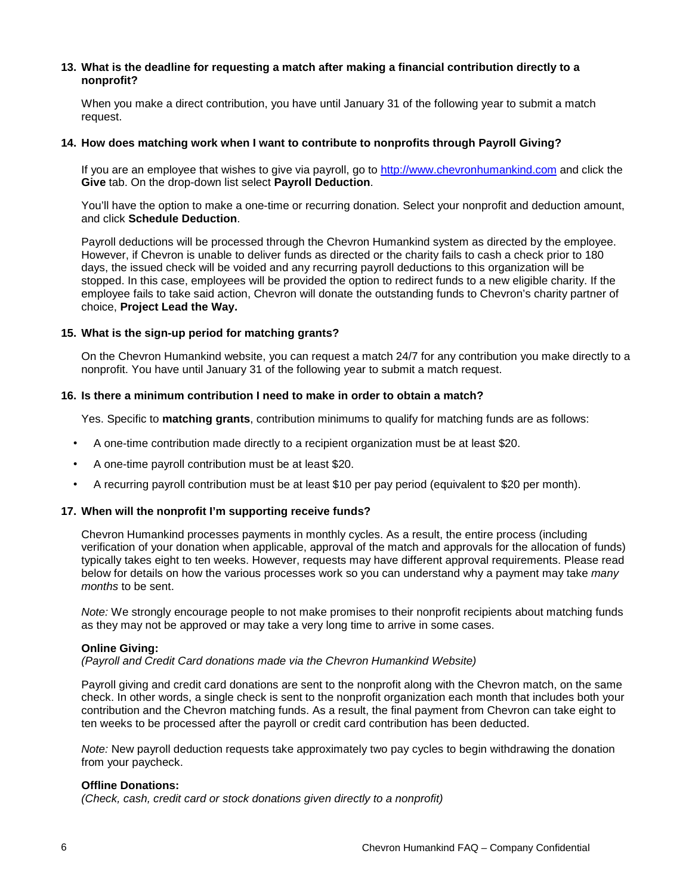#### <span id="page-5-0"></span>**13. What is the deadline for requesting a match after making a financial contribution directly to a nonprofit?**

When you make a direct contribution, you have until January 31 of the following year to submit a match request.

#### <span id="page-5-1"></span>**14. How does matching work when I want to contribute to nonprofits through Payroll Giving?**

If you are an employee that wishes to give via payroll, go to [http://www.chevronhumankind.com](http://www.chevronhumankind.com/) and click the **Give** tab. On the drop-down list select **Payroll Deduction**.

You'll have the option to make a one-time or recurring donation. Select your nonprofit and deduction amount, and click **Schedule Deduction**.

Payroll deductions will be processed through the Chevron Humankind system as directed by the employee. However, if Chevron is unable to deliver funds as directed or the charity fails to cash a check prior to 180 days, the issued check will be voided and any recurring payroll deductions to this organization will be stopped. In this case, employees will be provided the option to redirect funds to a new eligible charity. If the employee fails to take said action, Chevron will donate the outstanding funds to Chevron's charity partner of choice, **Project Lead the Way.**

## <span id="page-5-2"></span>**15. What is the sign-up period for matching grants?**

On the Chevron Humankind website, you can request a match 24/7 for any contribution you make directly to a nonprofit. You have until January 31 of the following year to submit a match request.

#### <span id="page-5-3"></span>**16. Is there a minimum contribution I need to make in order to obtain a match?**

Yes. Specific to **matching grants**, contribution minimums to qualify for matching funds are as follows:

- A one-time contribution made directly to a recipient organization must be at least \$20.
- A one-time payroll contribution must be at least \$20.
- A recurring payroll contribution must be at least \$10 per pay period (equivalent to \$20 per month).

#### <span id="page-5-4"></span>**17. When will the nonprofit I'm supporting receive funds?**

Chevron Humankind processes payments in monthly cycles. As a result, the entire process (including verification of your donation when applicable, approval of the match and approvals for the allocation of funds) typically takes eight to ten weeks. However, requests may have different approval requirements. Please read below for details on how the various processes work so you can understand why a payment may take *many months* to be sent.

*Note:* We strongly encourage people to not make promises to their nonprofit recipients about matching funds as they may not be approved or may take a very long time to arrive in some cases.

#### **Online Giving:**

*(Payroll and Credit Card donations made via the Chevron Humankind Website)*

Payroll giving and credit card donations are sent to the nonprofit along with the Chevron match, on the same check. In other words, a single check is sent to the nonprofit organization each month that includes both your contribution and the Chevron matching funds. As a result, the final payment from Chevron can take eight to ten weeks to be processed after the payroll or credit card contribution has been deducted.

*Note:* New payroll deduction requests take approximately two pay cycles to begin withdrawing the donation from your paycheck.

#### **Offline Donations:**

*(Check, cash, credit card or stock donations given directly to a nonprofit)*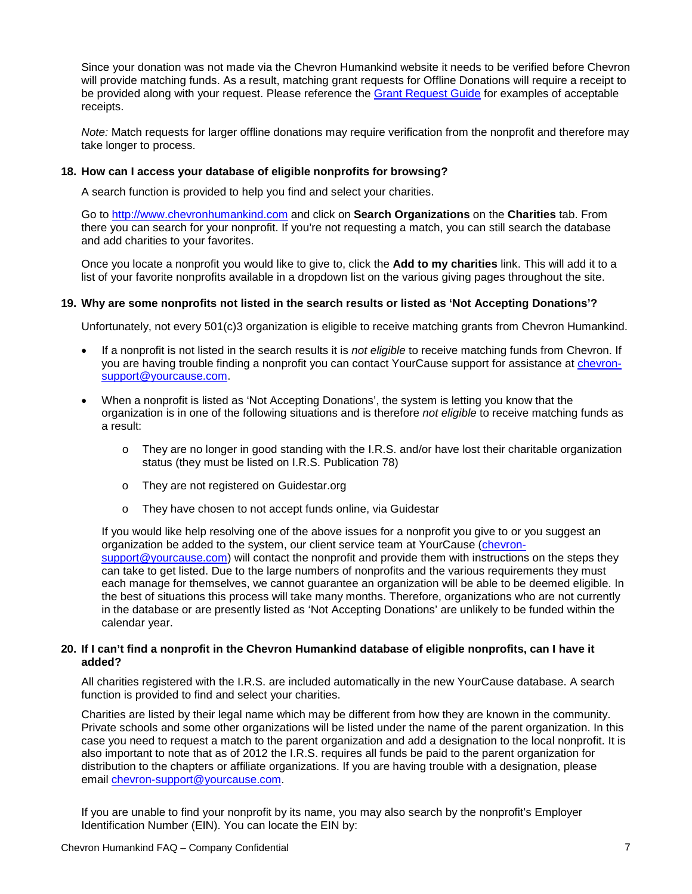Since your donation was not made via the Chevron Humankind website it needs to be verified before Chevron will provide matching funds. As a result, matching grant requests for Offline Donations will require a receipt to be provided along with your request. Please reference the [Grant Request Guide](https://s3.amazonaws.com/branding.yourcause.com/chevron/2930725.237461.0.pdf) for examples of acceptable receipts.

*Note:* Match requests for larger offline donations may require verification from the nonprofit and therefore may take longer to process.

#### <span id="page-6-0"></span>**18. How can I access your database of eligible nonprofits for browsing?**

A search function is provided to help you find and select your charities.

Go to [http://www.chevronhumankind.com](http://www.chevronhumankind.com/) and click on **Search Organizations** on the **Charities** tab. From there you can search for your nonprofit. If you're not requesting a match, you can still search the database and add charities to your favorites.

Once you locate a nonprofit you would like to give to, click the **Add to my charities** link. This will add it to a list of your favorite nonprofits available in a dropdown list on the various giving pages throughout the site.

#### <span id="page-6-1"></span>**19. Why are some nonprofits not listed in the search results or listed as 'Not Accepting Donations'?**

Unfortunately, not every 501(c)3 organization is eligible to receive matching grants from Chevron Humankind.

- If a nonprofit is not listed in the search results it is *not eligible* to receive matching funds from Chevron. If you are having trouble finding a nonprofit you can contact YourCause support for assistance at [chevron](mailto:chevron-support@yourcause.com)[support@yourcause.com.](mailto:chevron-support@yourcause.com)
- When a nonprofit is listed as 'Not Accepting Donations', the system is letting you know that the organization is in one of the following situations and is therefore *not eligible* to receive matching funds as a result:
	- o They are no longer in good standing with the I.R.S. and/or have lost their charitable organization status (they must be listed on I.R.S. Publication 78)
	- o They are not registered on Guidestar.org
	- o They have chosen to not accept funds online, via Guidestar

If you would like help resolving one of the above issues for a nonprofit you give to or you suggest an organization be added to the system, our client service team at YourCause [\(chevron](mailto:chevron-support@yourcause.com)[support@yourcause.com\)](mailto:chevron-support@yourcause.com) will contact the nonprofit and provide them with instructions on the steps they can take to get listed. Due to the large numbers of nonprofits and the various requirements they must each manage for themselves, we cannot guarantee an organization will be able to be deemed eligible. In the best of situations this process will take many months. Therefore, organizations who are not currently in the database or are presently listed as 'Not Accepting Donations' are unlikely to be funded within the calendar year.

#### <span id="page-6-2"></span>**20. If I can't find a nonprofit in the Chevron Humankind database of eligible nonprofits, can I have it added?**

All charities registered with the I.R.S. are included automatically in the new YourCause database. A search function is provided to find and select your charities.

Charities are listed by their legal name which may be different from how they are known in the community. Private schools and some other organizations will be listed under the name of the parent organization. In this case you need to request a match to the parent organization and add a designation to the local nonprofit. It is also important to note that as of 2012 the I.R.S. requires all funds be paid to the parent organization for distribution to the chapters or affiliate organizations. If you are having trouble with a designation, please email [chevron-support@yourcause.com.](mailto:chevron-support@yourcause.com)

If you are unable to find your nonprofit by its name, you may also search by the nonprofit's Employer Identification Number (EIN). You can locate the EIN by: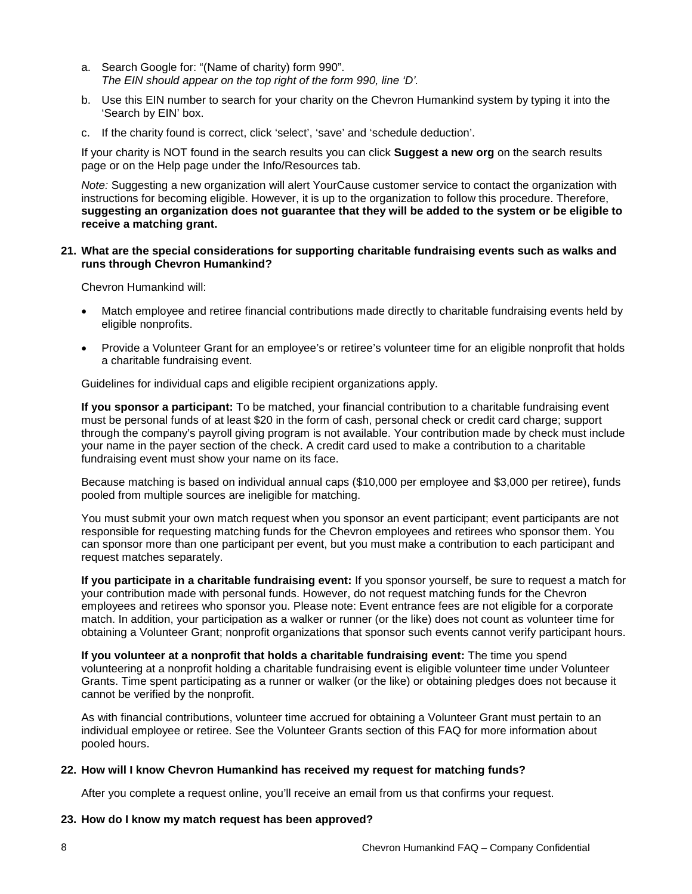- a. Search Google for: "(Name of charity) form 990". *The EIN should appear on the top right of the form 990, line 'D'.*
- b. Use this EIN number to search for your charity on the Chevron Humankind system by typing it into the 'Search by EIN' box.
- c. If the charity found is correct, click 'select', 'save' and 'schedule deduction'.

If your charity is NOT found in the search results you can click **Suggest a new org** on the search results page or on the Help page under the Info/Resources tab.

*Note:* Suggesting a new organization will alert YourCause customer service to contact the organization with instructions for becoming eligible. However, it is up to the organization to follow this procedure. Therefore, **suggesting an organization does not guarantee that they will be added to the system or be eligible to receive a matching grant.** 

#### <span id="page-7-0"></span>**21. What are the special considerations for supporting charitable fundraising events such as walks and runs through Chevron Humankind?**

Chevron Humankind will:

- Match employee and retiree financial contributions made directly to charitable fundraising events held by eligible nonprofits.
- Provide a Volunteer Grant for an employee's or retiree's volunteer time for an eligible nonprofit that holds a charitable fundraising event.

Guidelines for individual caps and eligible recipient organizations apply.

**If you sponsor a participant:** To be matched, your financial contribution to a charitable fundraising event must be personal funds of at least \$20 in the form of cash, personal check or credit card charge; support through the company's payroll giving program is not available. Your contribution made by check must include your name in the payer section of the check. A credit card used to make a contribution to a charitable fundraising event must show your name on its face.

Because matching is based on individual annual caps (\$10,000 per employee and \$3,000 per retiree), funds pooled from multiple sources are ineligible for matching.

You must submit your own match request when you sponsor an event participant; event participants are not responsible for requesting matching funds for the Chevron employees and retirees who sponsor them. You can sponsor more than one participant per event, but you must make a contribution to each participant and request matches separately.

**If you participate in a charitable fundraising event:** If you sponsor yourself, be sure to request a match for your contribution made with personal funds. However, do not request matching funds for the Chevron employees and retirees who sponsor you. Please note: Event entrance fees are not eligible for a corporate match. In addition, your participation as a walker or runner (or the like) does not count as volunteer time for obtaining a Volunteer Grant; nonprofit organizations that sponsor such events cannot verify participant hours.

**If you volunteer at a nonprofit that holds a charitable fundraising event:** The time you spend volunteering at a nonprofit holding a charitable fundraising event is eligible volunteer time under Volunteer Grants. Time spent participating as a runner or walker (or the like) or obtaining pledges does not because it cannot be verified by the nonprofit.

As with financial contributions, volunteer time accrued for obtaining a Volunteer Grant must pertain to an individual employee or retiree. See the Volunteer Grants section of this FAQ for more information about pooled hours.

#### <span id="page-7-1"></span>**22. How will I know Chevron Humankind has received my request for matching funds?**

After you complete a request online, you'll receive an email from us that confirms your request.

#### <span id="page-7-2"></span>**23. How do I know my match request has been approved?**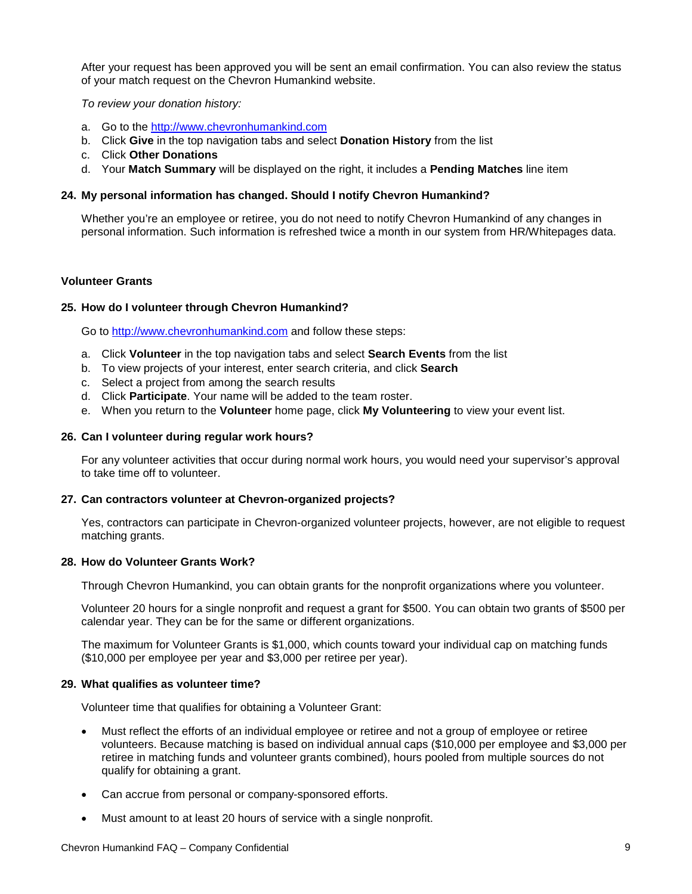After your request has been approved you will be sent an email confirmation. You can also review the status of your match request on the Chevron Humankind website.

*To review your donation history:*

- a. Go to the [http://www.chevronhumankind.com](http://www.chevronhumankind.com/)
- b. Click **Give** in the top navigation tabs and select **Donation History** from the list
- c. Click **Other Donations**
- d. Your **Match Summary** will be displayed on the right, it includes a **Pending Matches** line item

#### <span id="page-8-0"></span>**24. My personal information has changed. Should I notify Chevron Humankind?**

Whether you're an employee or retiree, you do not need to notify Chevron Humankind of any changes in personal information. Such information is refreshed twice a month in our system from HR/Whitepages data.

#### <span id="page-8-1"></span>**Volunteer Grants**

#### <span id="page-8-2"></span>**25. How do I volunteer through Chevron Humankind?**

Go to [http://www.chevronhumankind.com](http://www.chevronhumankind.com/) and follow these steps:

- a. Click **Volunteer** in the top navigation tabs and select **Search Events** from the list
- b. To view projects of your interest, enter search criteria, and click **Search**
- c. Select a project from among the search results
- d. Click **Participate**. Your name will be added to the team roster.
- e. When you return to the **Volunteer** home page, click **My Volunteering** to view your event list.

#### <span id="page-8-3"></span>**26. Can I volunteer during regular work hours?**

For any volunteer activities that occur during normal work hours, you would need your supervisor's approval to take time off to volunteer.

#### <span id="page-8-4"></span>**27. Can contractors volunteer at Chevron-organized projects?**

Yes, contractors can participate in Chevron-organized volunteer projects, however, are not eligible to request matching grants.

#### <span id="page-8-5"></span>**28. How do Volunteer Grants Work?**

Through Chevron Humankind, you can obtain grants for the nonprofit organizations where you volunteer.

Volunteer 20 hours for a single nonprofit and request a grant for \$500. You can obtain two grants of \$500 per calendar year. They can be for the same or different organizations.

The maximum for Volunteer Grants is \$1,000, which counts toward your individual cap on matching funds (\$10,000 per employee per year and \$3,000 per retiree per year).

#### <span id="page-8-6"></span>**29. What qualifies as volunteer time?**

Volunteer time that qualifies for obtaining a Volunteer Grant:

- Must reflect the efforts of an individual employee or retiree and not a group of employee or retiree volunteers. Because matching is based on individual annual caps (\$10,000 per employee and \$3,000 per retiree in matching funds and volunteer grants combined), hours pooled from multiple sources do not qualify for obtaining a grant.
- Can accrue from personal or company-sponsored efforts.
- Must amount to at least 20 hours of service with a single nonprofit.